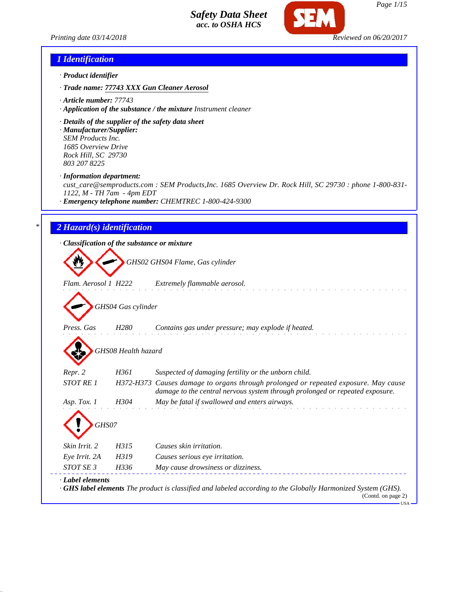



USA

### *1 Identification*

- *· Product identifier*
- *· Trade name: 77743 XXX Gun Cleaner Aerosol*
- *· Article number: 77743*
- *· Application of the substance / the mixture Instrument cleaner*
- *· Details of the supplier of the safety data sheet*
- *· Manufacturer/Supplier: SEM Products Inc. 1685 Overview Drive Rock Hill, SC 29730 803 207 8225*
- *· Information department:*

*cust\_care@semproducts.com : SEM Products,Inc. 1685 Overview Dr. Rock Hill, SC 29730 : phone 1-800-831- 1122, M - TH 7am - 4pm EDT*

*· Emergency telephone number: CHEMTREC 1-800-424-9300*

## *\* 2 Hazard(s) identification*

|  | · Classification of the substance or mixture |  |  |  |  |  |
|--|----------------------------------------------|--|--|--|--|--|
|--|----------------------------------------------|--|--|--|--|--|

*GHS02 GHS04 Flame, Gas cylinder*

*Flam. Aerosol 1 H222 Extremely flammable aerosol.*

*GHS04 Gas cylinder*

*Press. Gas H280 Contains gas under pressure; may explode if heated.*

| GHS08 Health hazard |  |
|---------------------|--|
|                     |  |

| Repr. 2          | H361 | Suspected of damaging fertility or the unborn child.                                                                                                                |
|------------------|------|---------------------------------------------------------------------------------------------------------------------------------------------------------------------|
| <b>STOT RE 1</b> |      | H372-H373 Causes damage to organs through prolonged or repeated exposure. May cause<br>damage to the central nervous system through prolonged or repeated exposure. |
| Asp. Tox. 1      | H304 | May be fatal if swallowed and enters airways.                                                                                                                       |
| GHS07            |      |                                                                                                                                                                     |
| Skin Irrit. 2    | H315 | Causes skin irritation.                                                                                                                                             |
| Eye Irrit. 2A    | H319 | Causes serious eye irritation.                                                                                                                                      |
| STOT SE 3        | H336 | May cause drowsiness or dizziness.                                                                                                                                  |
| Label elements   |      |                                                                                                                                                                     |

*· GHS label elements The product is classified and labeled according to the Globally Harmonized System (GHS).* (Contd. on page 2)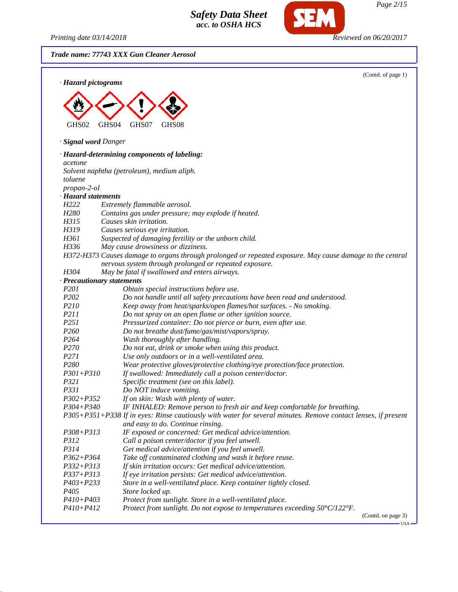*Printing date 03/14/2018 Reviewed on 06/20/2017*

SEM

|                             | Trade name: 77743 XXX Gun Cleaner Aerosol                                                                        |
|-----------------------------|------------------------------------------------------------------------------------------------------------------|
| · Hazard pictograms         | (Contd. of page 1)                                                                                               |
|                             |                                                                                                                  |
|                             |                                                                                                                  |
|                             |                                                                                                                  |
| GHS02                       | GHS04<br>GHS07<br>GHS08                                                                                          |
| · <b>Signal word Danger</b> |                                                                                                                  |
|                             |                                                                                                                  |
| acetone                     | · Hazard-determining components of labeling:                                                                     |
|                             | Solvent naphtha (petroleum), medium aliph.                                                                       |
| toluene                     |                                                                                                                  |
| propan-2-ol                 |                                                                                                                  |
| · Hazard statements         |                                                                                                                  |
| H <sub>222</sub>            | Extremely flammable aerosol.                                                                                     |
| H <sub>280</sub>            | Contains gas under pressure; may explode if heated.                                                              |
| H315                        | Causes skin irritation.                                                                                          |
| H319                        | Causes serious eye irritation.                                                                                   |
| H361                        | Suspected of damaging fertility or the unborn child.                                                             |
| H336                        | May cause drowsiness or dizziness.                                                                               |
|                             | H372-H373 Causes damage to organs through prolonged or repeated exposure. May cause damage to the central        |
|                             | nervous system through prolonged or repeated exposure.                                                           |
| H304                        | May be fatal if swallowed and enters airways.                                                                    |
|                             | · Precautionary statements                                                                                       |
| P201                        | Obtain special instructions before use.                                                                          |
| P202                        | Do not handle until all safety precautions have been read and understood.                                        |
| P210<br>P211                | Keep away from heat/sparks/open flames/hot surfaces. - No smoking.                                               |
| P251                        | Do not spray on an open flame or other ignition source.                                                          |
| P <sub>260</sub>            | Pressurized container: Do not pierce or burn, even after use.<br>Do not breathe dust/fume/gas/mist/vapors/spray. |
| P <sub>264</sub>            | Wash thoroughly after handling.                                                                                  |
| P <sub>270</sub>            | Do not eat, drink or smoke when using this product.                                                              |
| P271                        | Use only outdoors or in a well-ventilated area.                                                                  |
| P280                        | Wear protective gloves/protective clothing/eye protection/face protection.                                       |
| $P301 + P310$               | If swallowed: Immediately call a poison center/doctor.                                                           |
| P321                        | Specific treatment (see on this label).                                                                          |
| <i>P331</i>                 | Do NOT induce vomiting.                                                                                          |
| $P302 + P352$               | If on skin: Wash with plenty of water.                                                                           |
| P304+P340                   | IF INHALED: Remove person to fresh air and keep comfortable for breathing.                                       |
|                             | P305+P351+P338 If in eyes: Rinse cautiously with water for several minutes. Remove contact lenses, if present    |
|                             | and easy to do. Continue rinsing.                                                                                |
| P308+P313                   | IF exposed or concerned: Get medical advice/attention.                                                           |
| P312                        | Call a poison center/doctor if you feel unwell.                                                                  |
| P314                        | Get medical advice/attention if you feel unwell.                                                                 |
| $P362 + P364$               | Take off contaminated clothing and wash it before reuse.                                                         |
| $P332 + P313$               | If skin irritation occurs: Get medical advice/attention.                                                         |
| P337+P313                   | If eye irritation persists: Get medical advice/attention.                                                        |
| $P403 + P233$               | Store in a well-ventilated place. Keep container tightly closed.                                                 |
| P <sub>405</sub>            | Store locked up.                                                                                                 |
| $P410 + P403$               | Protect from sunlight. Store in a well-ventilated place.                                                         |
| $P410 + P412$               | Protect from sunlight. Do not expose to temperatures exceeding 50°C/122°F.                                       |
|                             | (Contd. on page 3)                                                                                               |

 $\overline{\text{USA}}$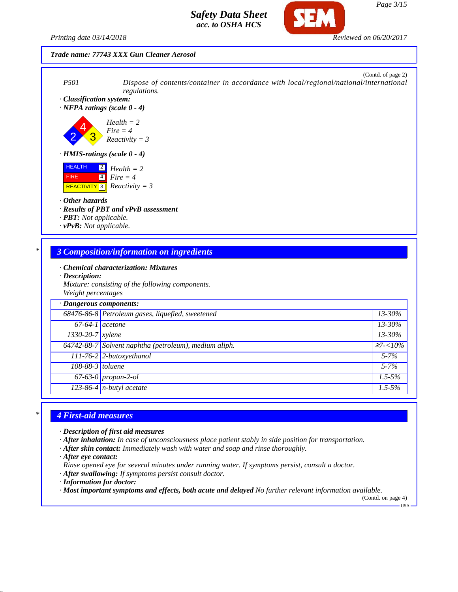

### *Trade name: 77743 XXX Gun Cleaner Aerosol*



*Mixture: consisting of the following components. Weight percentages*

| · Dangerous components: |                                                       |                 |  |
|-------------------------|-------------------------------------------------------|-----------------|--|
|                         | 68476-86-8 Petroleum gases, liquefied, sweetened      | $13 - 30\%$     |  |
| $67-64-1$ acetone       |                                                       | 13-30%          |  |
| 1330-20-7 xylene        |                                                       | 13-30%          |  |
|                         | 64742-88-7 Solvent naphtha (petroleum), medium aliph. | $\geq 7 < 10\%$ |  |
|                         | 111-76-2 2-butoxyethanol                              | $5 - 7\%$       |  |
| 108-88-3 toluene        |                                                       | $5 - 7\%$       |  |
|                         | $67-63-0$ propan-2-ol                                 | $1.5 - 5\%$     |  |
|                         | $123-86-4$ n-butyl acetate                            | $1.5 - 5\%$     |  |

## *\* 4 First-aid measures*

- *· Description of first aid measures*
- *· After inhalation: In case of unconsciousness place patient stably in side position for transportation.*
- *· After skin contact: Immediately wash with water and soap and rinse thoroughly.*
- *· After eye contact:*
- *Rinse opened eye for several minutes under running water. If symptoms persist, consult a doctor.*
- *· After swallowing: If symptoms persist consult doctor.*
- *· Information for doctor:*
- *· Most important symptoms and effects, both acute and delayed No further relevant information available.*

(Contd. on page 4)  $-<sub>USA</sub>$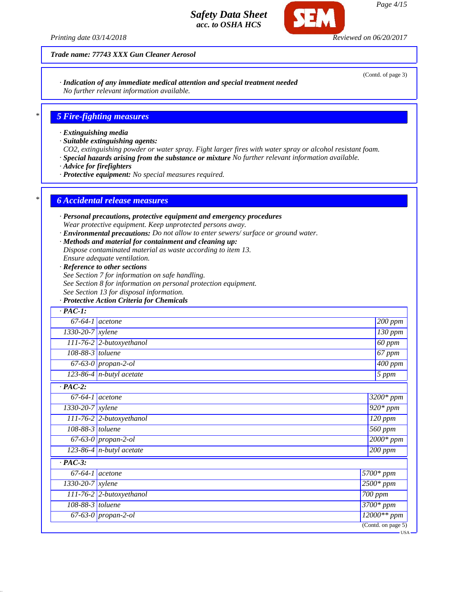*Printing date 03/14/2018 Reviewed on 06/20/2017*

### *Trade name: 77743 XXX Gun Cleaner Aerosol*

*· Indication of any immediate medical attention and special treatment needed No further relevant information available.*

## *\* 5 Fire-fighting measures*

- *· Extinguishing media*
- *· Suitable extinguishing agents:*
- *CO2, extinguishing powder or water spray. Fight larger fires with water spray or alcohol resistant foam.*
- *· Special hazards arising from the substance or mixture No further relevant information available.*
- *· Advice for firefighters*
- *· Protective equipment: No special measures required.*

### *\* 6 Accidental release measures*

- *· Personal precautions, protective equipment and emergency procedures Wear protective equipment. Keep unprotected persons away.*
- *· Environmental precautions: Do not allow to enter sewers/ surface or ground water.*
- *· Methods and material for containment and cleaning up:*
- *Dispose contaminated material as waste according to item 13.*
- *Ensure adequate ventilation.*
- *· Reference to other sections*
- *See Section 7 for information on safe handling.*
- *See Section 8 for information on personal protection equipment.*
- *See Section 13 for disposal information.*
- *· Protective Action Criteria for Chemicals*

| $\cdot$ PAC-1:                |                                   |                      |
|-------------------------------|-----------------------------------|----------------------|
|                               | $67-64-1$ acetone                 | $200$ ppm            |
| $\overline{1330-20-7}$ xylene |                                   | $130$ ppm            |
|                               | $111-76-2$ 2-butoxyethanol        | 60 ppm               |
| 108-88-3 toluene              |                                   | 67 ppm               |
|                               | $67-63-0$ propan-2-ol             | $\overline{400}$ ppm |
|                               | 123-86-4 $n$ -butyl acetate       | 5 ppm                |
| $\cdot$ PAC-2:                |                                   |                      |
|                               | $67-64-1$ acetone                 | $3200*$ ppm          |
| $1330 - 20 - 7$ <i>xylene</i> |                                   | $920*ppm$            |
|                               | 111-76-2 2-butoxyethanol          | $\overline{120}$ ppm |
| 108-88-3 toluene              |                                   | $\overline{560}$ ppm |
|                               | 67-63-0 propan-2-ol               | $2000*$ ppm          |
|                               | $\sqrt{123-86-4}$ n-butyl acetate | $\overline{200}$ ppm |
| $\cdot$ PAC-3:                |                                   |                      |
| $67-64-1$ acetone             |                                   | 5700* ppm            |
| 1330-20-7 xylene              |                                   | $2500*$ ppm          |
|                               | 111-76-2 2-butoxyethanol          | 700 ppm              |
| $108-88-3$ toluene            |                                   | 3700* ppm            |
|                               | $\overline{67-63-0}$ propan-2-ol  | $12000**$ ppm        |
|                               |                                   | (Contd. on page 5)   |

(Contd. of page 3)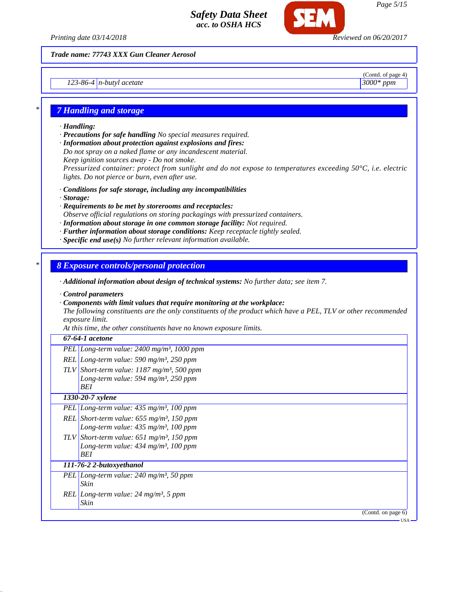

*Trade name: 77743 XXX Gun Cleaner Aerosol*

*123-86-4 n-butyl acetate 3000\* ppm*

(Contd. of page 4)

### *\* 7 Handling and storage*

### *· Handling:*

*· Precautions for safe handling No special measures required.*

*· Information about protection against explosions and fires:*

*Do not spray on a naked flame or any incandescent material.*

*Keep ignition sources away - Do not smoke.*

*Pressurized container: protect from sunlight and do not expose to temperatures exceeding 50°C, i.e. electric lights. Do not pierce or burn, even after use.*

- *· Conditions for safe storage, including any incompatibilities*
- *· Storage:*
- *· Requirements to be met by storerooms and receptacles: Observe official regulations on storing packagings with pressurized containers.*
- *· Information about storage in one common storage facility: Not required.*
- *· Further information about storage conditions: Keep receptacle tightly sealed.*
- *· Specific end use(s) No further relevant information available.*

## *\* 8 Exposure controls/personal protection*

*· Additional information about design of technical systems: No further data; see item 7.*

- *· Control parameters*
- *· Components with limit values that require monitoring at the workplace:*

*The following constituents are the only constituents of the product which have a PEL, TLV or other recommended exposure limit.*

*At this time, the other constituents have no known exposure limits.*

### *67-64-1 acetone*

- *PEL Long-term value: 2400 mg/m³, 1000 ppm*
- *REL Long-term value: 590 mg/m³, 250 ppm*
- *TLV Short-term value: 1187 mg/m³, 500 ppm Long-term value: 594 mg/m³, 250 ppm BEI*

# *1330-20-7 xylene*

*PEL Long-term value: 435 mg/m³, 100 ppm REL Short-term value: 655 mg/m³, 150 ppm Long-term value: 435 mg/m³, 100 ppm TLV Short-term value: 651 mg/m³, 150 ppm Long-term value: 434 mg/m³, 100 ppm*

- *BEI 111-76-2 2-butoxyethanol*
- *PEL Long-term value: 240 mg/m³, 50 ppm Skin REL Long-term value: 24 mg/m³, 5 ppm*
	- *Skin*

(Contd. on page 6)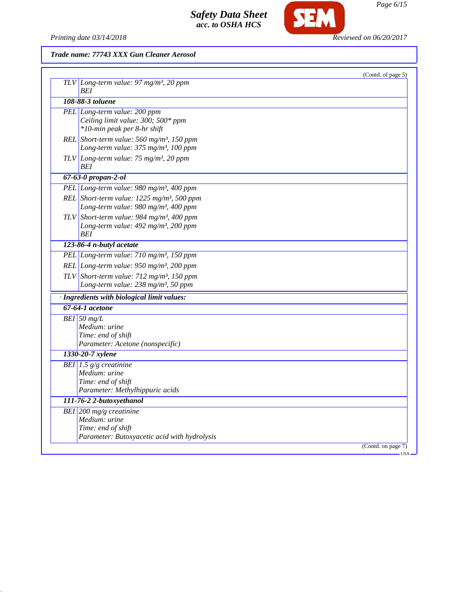

**SEM** 

# *Trade name: 77743 XXX Gun Cleaner Aerosol*

|                                                                                                                         | (Contd. of page 5) |
|-------------------------------------------------------------------------------------------------------------------------|--------------------|
| $TLV$ Long-term value: 97 mg/m <sup>3</sup> , 20 ppm<br>BEI                                                             |                    |
| 108-88-3 toluene                                                                                                        |                    |
| PEL Long-term value: 200 ppm<br>Ceiling limit value: 300; 500* ppm<br>*10-min peak per 8-hr shift                       |                    |
| REL Short-term value: 560 mg/m <sup>3</sup> , 150 ppm<br>Long-term value: 375 mg/m <sup>3</sup> , 100 ppm               |                    |
| $TLV$ Long-term value: 75 mg/m <sup>3</sup> , 20 ppm<br>BEI                                                             |                    |
| $67 - 63 - 0$ propan-2-ol                                                                                               |                    |
| PEL Long-term value: 980 mg/m <sup>3</sup> , 400 ppm                                                                    |                    |
| REL Short-term value: 1225 mg/m <sup>3</sup> , 500 ppm<br>Long-term value: 980 mg/m <sup>3</sup> , 400 ppm              |                    |
| TLV Short-term value: 984 mg/m <sup>3</sup> , 400 ppm<br>Long-term value: 492 mg/m <sup>3</sup> , 200 ppm<br><b>BEI</b> |                    |
| 123-86-4 n-butyl acetate                                                                                                |                    |
| PEL Long-term value: 710 mg/m <sup>3</sup> , 150 ppm                                                                    |                    |
| REL Long-term value: $950$ mg/m <sup>3</sup> , 200 ppm                                                                  |                    |
| TLV Short-term value: $712$ mg/m <sup>3</sup> , 150 ppm<br>Long-term value: 238 mg/m <sup>3</sup> , 50 ppm              |                    |
| · Ingredients with biological limit values:                                                                             |                    |
| 67-64-1 acetone                                                                                                         |                    |
| $BEI$ 50 mg/L<br>Medium: urine<br>Time: end of shift<br>Parameter: Acetone (nonspecific)                                |                    |
| 1330-20-7 xylene                                                                                                        |                    |
| BEI 1.5 $g/g$ creatinine<br>Medium: urine<br>Time: end of shift<br>Parameter: Methylhippuric acids                      |                    |
| 111-76-2 2-butoxyethanol                                                                                                |                    |
| BEI 200 mg/g creatinine<br>Medium: urine<br>Time: end of shift<br>Parameter: Butoxyacetic acid with hydrolysis          |                    |
|                                                                                                                         | (Contd. on page 7) |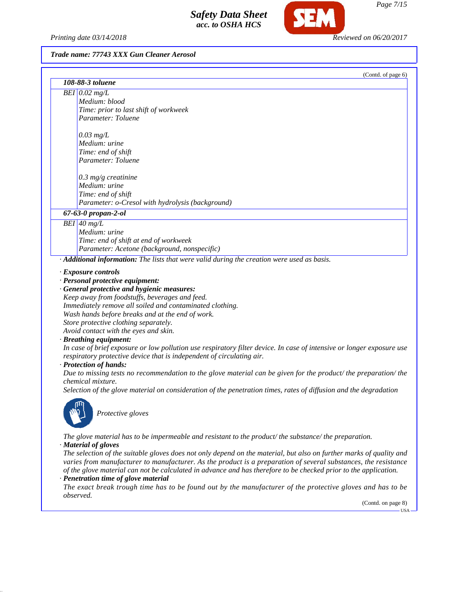*Printing date 03/14/2018 Reviewed on 06/20/2017*

### *Trade name: 77743 XXX Gun Cleaner Aerosol*

|                                                                                                          | (Contd. of page 6) |
|----------------------------------------------------------------------------------------------------------|--------------------|
| 108-88-3 toluene                                                                                         |                    |
| $BEI$ 0.02 mg/L                                                                                          |                    |
| Medium: blood                                                                                            |                    |
| Time: prior to last shift of workweek                                                                    |                    |
| Parameter: Toluene                                                                                       |                    |
| $0.03$ mg/L                                                                                              |                    |
| Medium: urine                                                                                            |                    |
| Time: end of shift                                                                                       |                    |
| Parameter: Toluene                                                                                       |                    |
| $0.3$ mg/g creatinine                                                                                    |                    |
| Medium: urine                                                                                            |                    |
| Time: end of shift                                                                                       |                    |
| Parameter: o-Cresol with hydrolysis (background)                                                         |                    |
| 67-63-0 propan-2-ol                                                                                      |                    |
| $BEI$ 40 mg/L                                                                                            |                    |
| Medium: urine                                                                                            |                    |
| Time: end of shift at end of workweek                                                                    |                    |
| Parameter: Acetone (background, nonspecific)                                                             |                    |
| $\cdot$ <b>Additional information:</b> The lists that were valid during the creation were used as basis. |                    |
| $\cdot$ Exposure controls                                                                                |                    |
| · Personal protective equipment:                                                                         |                    |
|                                                                                                          |                    |

*· General protective and hygienic measures: Keep away from foodstuffs, beverages and feed. Immediately remove all soiled and contaminated clothing. Wash hands before breaks and at the end of work. Store protective clothing separately. Avoid contact with the eyes and skin.*

#### *· Breathing equipment:*

*In case of brief exposure or low pollution use respiratory filter device. In case of intensive or longer exposure use respiratory protective device that is independent of circulating air.*

#### *· Protection of hands:*

*Due to missing tests no recommendation to the glove material can be given for the product/ the preparation/ the chemical mixture.*

*Selection of the glove material on consideration of the penetration times, rates of diffusion and the degradation*



*Protective gloves*

*The glove material has to be impermeable and resistant to the product/ the substance/ the preparation. · Material of gloves*

*The selection of the suitable gloves does not only depend on the material, but also on further marks of quality and varies from manufacturer to manufacturer. As the product is a preparation of several substances, the resistance of the glove material can not be calculated in advance and has therefore to be checked prior to the application.*

*· Penetration time of glove material*

*The exact break trough time has to be found out by the manufacturer of the protective gloves and has to be observed.*

(Contd. on page 8)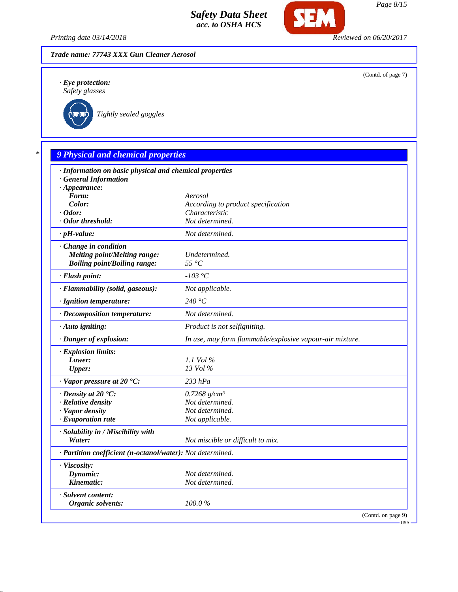*Printing date 03/14/2018 Reviewed on 06/20/2017*

**SEM** 



*· Eye protection: Safety glasses*

*Tightly sealed goggles*

| $\ast$ |  | <b>9 Physical and chemical properties</b> |  |  |  |
|--------|--|-------------------------------------------|--|--|--|
|--------|--|-------------------------------------------|--|--|--|

| · Information on basic physical and chemical properties<br><b>General Information</b> |                                                          |
|---------------------------------------------------------------------------------------|----------------------------------------------------------|
| $\cdot$ Appearance:                                                                   |                                                          |
| Form:                                                                                 | Aerosol                                                  |
| Color:                                                                                | According to product specification                       |
| $\cdot$ Odor:                                                                         | Characteristic                                           |
| · Odor threshold:                                                                     | Not determined.                                          |
| $\cdot$ pH-value:                                                                     | Not determined.                                          |
| $\cdot$ Change in condition                                                           |                                                          |
| <b>Melting point/Melting range:</b>                                                   | Undetermined.                                            |
| <b>Boiling point/Boiling range:</b>                                                   | $55^{\circ}C$                                            |
| · Flash point:                                                                        | $-103$ °C                                                |
| · Flammability (solid, gaseous):                                                      | Not applicable.                                          |
| · Ignition temperature:                                                               | 240 $\degree$ C                                          |
| · Decomposition temperature:                                                          | Not determined.                                          |
| $\cdot$ Auto igniting:                                                                | Product is not selfigniting.                             |
| · Danger of explosion:                                                                | In use, may form flammable/explosive vapour-air mixture. |
| · Explosion limits:                                                                   |                                                          |
| Lower:                                                                                | 1.1 Vol $\%$                                             |
| <b>Upper:</b>                                                                         | 13 Vol %                                                 |
| $\cdot$ Vapor pressure at 20 $\textdegree$ C:                                         | $233$ $hPa$                                              |
| $\cdot$ Density at 20 $\textdegree$ C:                                                | 0.7268 $g/cm^3$                                          |
| · Relative density                                                                    | Not determined.                                          |
| · Vapor density                                                                       | Not determined.                                          |
| $\cdot$ Evaporation rate                                                              | Not applicable.                                          |
| · Solubility in / Miscibility with                                                    |                                                          |
| Water:                                                                                | Not miscible or difficult to mix.                        |
| · Partition coefficient (n-octanol/water): Not determined.                            |                                                          |
| · Viscosity:                                                                          |                                                          |
| Dynamic:                                                                              | Not determined.                                          |
| Kinematic:                                                                            | Not determined.                                          |
| · Solvent content:                                                                    |                                                          |
| Organic solvents:                                                                     | 100.0%                                                   |
|                                                                                       | (Contd. on page 9)                                       |

(Contd. of page 7)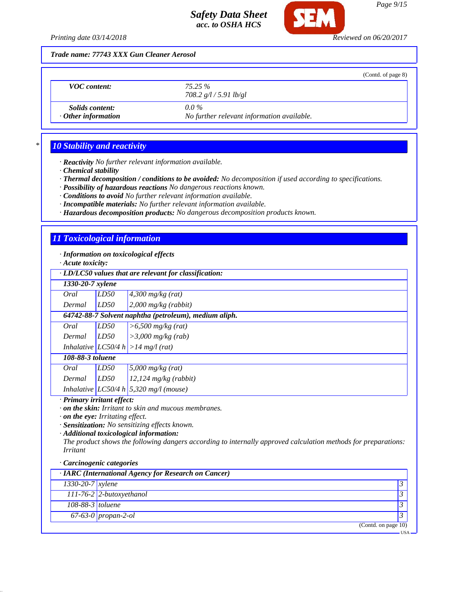

SEM

*Printing date 03/14/2018 Reviewed on 06/20/2017*

|                                                     |                                                       | (Contd. of page 8) |
|-----------------------------------------------------|-------------------------------------------------------|--------------------|
| <b>VOC</b> content:                                 | 75.25 %<br>708.2 $g/l / 5.91$ lb/gl                   |                    |
| <i>Solids content:</i><br>$\cdot$ Other information | $0.0\%$<br>No further relevant information available. |                    |

# *\* 10 Stability and reactivity*

*· Reactivity No further relevant information available.*

*· Chemical stability*

*· Thermal decomposition / conditions to be avoided: No decomposition if used according to specifications.*

*· Possibility of hazardous reactions No dangerous reactions known.*

*· Conditions to avoid No further relevant information available.*

*· Incompatible materials: No further relevant information available.*

*· Hazardous decomposition products: No dangerous decomposition products known.*

# *11 Toxicological information*

*· Information on toxicological effects*

*· Acute toxicity:*

| · LD/LC50 values that are relevant for classification:                                                                                                                                                                                                                                                                                                                                       |                            |                                                       |                |
|----------------------------------------------------------------------------------------------------------------------------------------------------------------------------------------------------------------------------------------------------------------------------------------------------------------------------------------------------------------------------------------------|----------------------------|-------------------------------------------------------|----------------|
| 1330-20-7 xylene                                                                                                                                                                                                                                                                                                                                                                             |                            |                                                       |                |
| Oral                                                                                                                                                                                                                                                                                                                                                                                         | LD50                       | $4,300$ mg/kg (rat)                                   |                |
| Dermal                                                                                                                                                                                                                                                                                                                                                                                       | LD50                       | $2,000$ mg/kg (rabbit)                                |                |
|                                                                                                                                                                                                                                                                                                                                                                                              |                            | 64742-88-7 Solvent naphtha (petroleum), medium aliph. |                |
| Oral                                                                                                                                                                                                                                                                                                                                                                                         | LD50                       | $\sqrt{500}$ mg/kg (rat)                              |                |
| Dermal                                                                                                                                                                                                                                                                                                                                                                                       | LD50                       | $>3,000$ mg/kg (rab)                                  |                |
|                                                                                                                                                                                                                                                                                                                                                                                              |                            | Inhalative $ LC50/4 h  > 14 mg/l$ (rat)               |                |
| 108-88-3 toluene                                                                                                                                                                                                                                                                                                                                                                             |                            |                                                       |                |
| Oral                                                                                                                                                                                                                                                                                                                                                                                         | LD50                       | 5,000 $mg/kg$ (rat)                                   |                |
| Dermal                                                                                                                                                                                                                                                                                                                                                                                       | LD50                       | $12,124$ mg/kg (rabbit)                               |                |
|                                                                                                                                                                                                                                                                                                                                                                                              |                            | Inhalative LC50/4 h 5,320 mg/l (mouse)                |                |
| · Primary irritant effect:<br>$\cdot$ on the skin: Irritant to skin and mucous membranes.<br>. on the eye: Irritating effect.<br>· Sensitization: No sensitizing effects known.<br>· Additional toxicological information:<br>The product shows the following dangers according to internally approved calculation methods for preparations:<br><i>Irritant</i><br>· Carcinogenic categories |                            |                                                       |                |
|                                                                                                                                                                                                                                                                                                                                                                                              |                            | · IARC (International Agency for Research on Cancer)  |                |
| $\overline{1330}$ -20-7   xylene                                                                                                                                                                                                                                                                                                                                                             |                            |                                                       | 3              |
|                                                                                                                                                                                                                                                                                                                                                                                              | $111-76-2$ 2-butoxyethanol |                                                       | 3              |
| 108-88-3 toluene                                                                                                                                                                                                                                                                                                                                                                             |                            |                                                       | 3              |
|                                                                                                                                                                                                                                                                                                                                                                                              | $67-63-0$ propan-2-ol      |                                                       | $\mathfrak{Z}$ |
|                                                                                                                                                                                                                                                                                                                                                                                              |                            | (Contd. on page 10)                                   |                |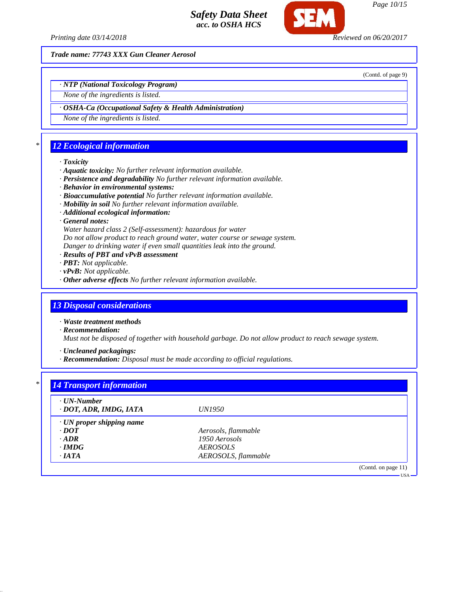

*Printing date 03/14/2018 Reviewed on 06/20/2017*

*Trade name: 77743 XXX Gun Cleaner Aerosol*

(Contd. of page 9)

*Page 10/15*

*· NTP (National Toxicology Program)*

*None of the ingredients is listed.*

*· OSHA-Ca (Occupational Safety & Health Administration)*

*None of the ingredients is listed.*

# *\* 12 Ecological information*

### *· Toxicity*

- *· Aquatic toxicity: No further relevant information available.*
- *· Persistence and degradability No further relevant information available.*
- *· Behavior in environmental systems:*
- *· Bioaccumulative potential No further relevant information available.*
- *· Mobility in soil No further relevant information available.*
- *· Additional ecological information:*
- *· General notes:*

*Water hazard class 2 (Self-assessment): hazardous for water Do not allow product to reach ground water, water course or sewage system. Danger to drinking water if even small quantities leak into the ground.*

- *· Results of PBT and vPvB assessment*
- *· PBT: Not applicable.*
- *· vPvB: Not applicable.*
- *· Other adverse effects No further relevant information available.*

# *13 Disposal considerations*

*· Waste treatment methods*

*· Recommendation:*

*Must not be disposed of together with household garbage. Do not allow product to reach sewage system.*

*· Uncleaned packagings:*

*· Recommendation: Disposal must be made according to official regulations.*

| · UN-Number                     |                        |  |
|---------------------------------|------------------------|--|
| · DOT, ADR, IMDG, IATA          | <i>UN1950</i>          |  |
| $\cdot$ UN proper shipping name |                        |  |
| $\cdot$ <i>DOT</i>              | Aerosols, flammable    |  |
| $\cdot$ ADR                     | 1950 Aerosols          |  |
| $\cdot$ IMDG                    | <i><b>AEROSOLS</b></i> |  |
| $\cdot$ IATA                    | AEROSOLS, flammable    |  |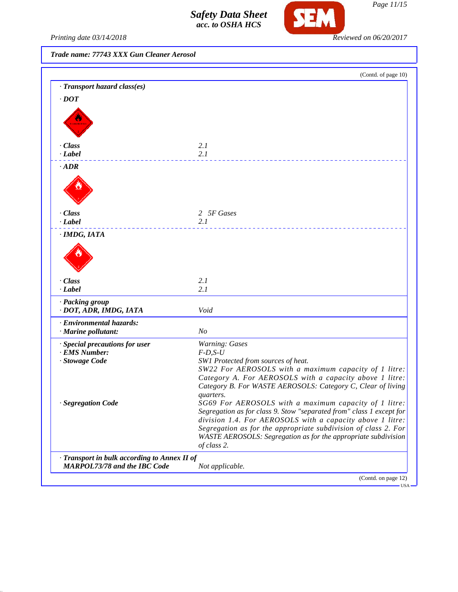

*Page 11/15*

*Printing date 03/14/2018 Reviewed on 06/20/2017*

*Trade name: 77743 XXX Gun Cleaner Aerosol*

|                                              | (Contd. of page 10)                                                                          |
|----------------------------------------------|----------------------------------------------------------------------------------------------|
| · Transport hazard class(es)                 |                                                                                              |
| $\cdot$ DOT                                  |                                                                                              |
|                                              |                                                                                              |
| <b>ALAN E</b>                                |                                                                                              |
|                                              |                                                                                              |
|                                              |                                                                                              |
| · Class<br>· Label                           | 2.1<br>2.1                                                                                   |
|                                              |                                                                                              |
| $\cdot$ ADR                                  |                                                                                              |
|                                              |                                                                                              |
|                                              |                                                                                              |
|                                              |                                                                                              |
| $\cdot$ Class                                | 2 5F Gases                                                                                   |
| $-Label$                                     | 2.1                                                                                          |
| · IMDG, IATA                                 |                                                                                              |
|                                              |                                                                                              |
|                                              |                                                                                              |
|                                              |                                                                                              |
|                                              |                                                                                              |
| · Class                                      | 2.1                                                                                          |
| · Label                                      | 2.1                                                                                          |
| · Packing group                              |                                                                                              |
| · DOT, ADR, IMDG, IATA                       | Void                                                                                         |
| · Environmental hazards:                     |                                                                                              |
| · Marine pollutant:                          | N <sub>O</sub>                                                                               |
| · Special precautions for user               | <b>Warning: Gases</b>                                                                        |
| · EMS Number:                                | $F$ -D,S-U                                                                                   |
| · Stowage Code                               | SW1 Protected from sources of heat.<br>SW22 For AEROSOLS with a maximum capacity of 1 litre: |
|                                              | Category A. For AEROSOLS with a capacity above 1 litre:                                      |
|                                              | Category B. For WASTE AEROSOLS: Category C, Clear of living                                  |
|                                              | quarters.                                                                                    |
| · Segregation Code                           | SG69 For AEROSOLS with a maximum capacity of 1 litre:                                        |
|                                              | Segregation as for class 9. Stow "separated from" class 1 except for                         |
|                                              | division 1.4. For AEROSOLS with a capacity above 1 litre:                                    |
|                                              | Segregation as for the appropriate subdivision of class 2. For                               |
|                                              | WASTE AEROSOLS: Segregation as for the appropriate subdivision<br>of class 2.                |
| · Transport in bulk according to Annex II of |                                                                                              |
| <b>MARPOL73/78 and the IBC Code</b>          | Not applicable.                                                                              |
|                                              | (Contd. on page 12)                                                                          |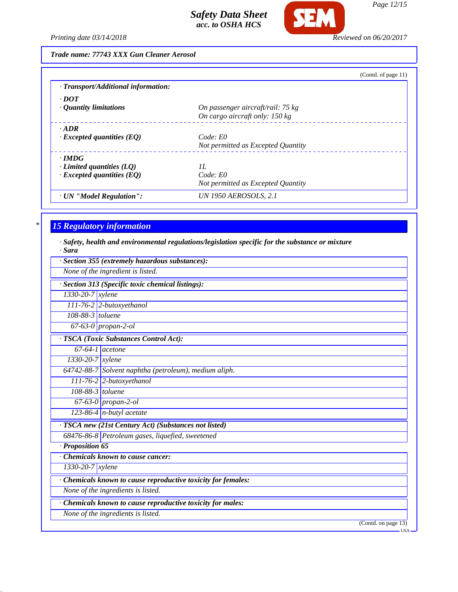

*Printing date 03/14/2018 Reviewed on 06/20/2017*

*Trade name: 77743 XXX Gun Cleaner Aerosol*

|                                           | (Contd. of page 11)                |
|-------------------------------------------|------------------------------------|
| $\cdot$ Transport/Additional information: |                                    |
| $\cdot$ DOT                               |                                    |
| $\cdot$ Quantity limitations              | On passenger aircraft/rail: 75 kg  |
|                                           | On cargo aircraft only: 150 kg     |
| $\cdot$ ADR                               |                                    |
| $\cdot$ Excepted quantities (EQ)          | Code: E0                           |
|                                           | Not permitted as Excepted Quantity |
| $\cdot$ IMDG                              |                                    |
| $\cdot$ Limited quantities (LQ)           | II.                                |
| $\cdot$ Excepted quantities (EQ)          | Code: E0                           |
|                                           | Not permitted as Excepted Quantity |
| · UN "Model Regulation":                  | <b>UN 1950 AEROSOLS, 2.1</b>       |

# *\* 15 Regulatory information*

*· Safety, health and environmental regulations/legislation specific for the substance or mixture · Sara*

| · Section 355 (extremely hazardous substances):               |                                                           |  |  |
|---------------------------------------------------------------|-----------------------------------------------------------|--|--|
| None of the ingredient is listed.                             |                                                           |  |  |
| · Section 313 (Specific toxic chemical listings):             |                                                           |  |  |
| 1330-20-7 xylene                                              |                                                           |  |  |
|                                                               | 111-76-2 2-butoxyethanol                                  |  |  |
| 108-88-3 toluene                                              |                                                           |  |  |
|                                                               | 67-63-0 propan-2-ol                                       |  |  |
| · TSCA (Toxic Substances Control Act):                        |                                                           |  |  |
|                                                               | $67-64-1$ acetone                                         |  |  |
| 1330-20-7 xylene                                              |                                                           |  |  |
|                                                               | 64742-88-7 Solvent naphtha (petroleum), medium aliph.     |  |  |
|                                                               | $111-76-2$ 2-butoxyethanol                                |  |  |
| 108-88-3 toluene                                              |                                                           |  |  |
|                                                               | 67-63-0 propan-2-ol                                       |  |  |
|                                                               | $123-86-4$ n-butyl acetate                                |  |  |
|                                                               | · TSCA new (21st Century Act) (Substances not listed)     |  |  |
|                                                               | 68476-86-8 Petroleum gases, liquefied, sweetened          |  |  |
| · Proposition 65                                              |                                                           |  |  |
| <b>Chemicals known to cause cancer:</b>                       |                                                           |  |  |
| $1330 - 20 - 7$ xylene                                        |                                                           |  |  |
| · Chemicals known to cause reproductive toxicity for females: |                                                           |  |  |
|                                                               | None of the ingredients is listed.                        |  |  |
|                                                               | Chemicals known to cause reproductive toxicity for males: |  |  |
|                                                               | None of the ingredients is listed.                        |  |  |
|                                                               | (Contd. on page $13$ )                                    |  |  |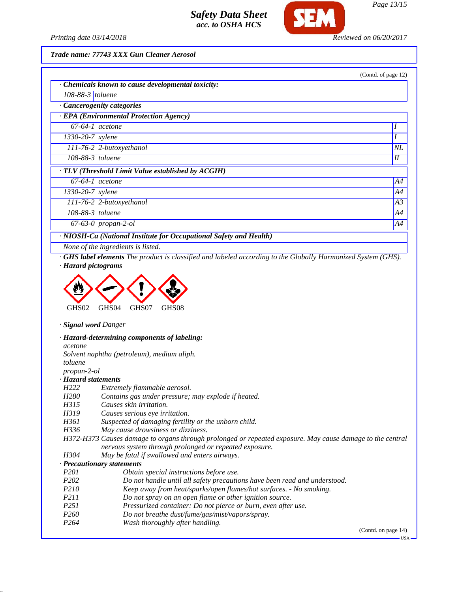

*Printing date 03/14/2018 Reviewed on 06/20/2017*

*Trade name: 77743 XXX Gun Cleaner Aerosol*

|                                | · Chemicals known to cause developmental toxicity: |    |
|--------------------------------|----------------------------------------------------|----|
| $108-88-3$ toluene             |                                                    |    |
|                                | Cancerogenity categories                           |    |
|                                | · EPA (Environmental Protection Agency)            |    |
| $67-64-1$ acetone              |                                                    |    |
| $\sqrt{1330-20} - 7$ xylene    |                                                    |    |
|                                | 111-76-2 2-butoxyethanol                           | NL |
| 108-88-3 toluene               |                                                    | I  |
|                                | · TLV (Threshold Limit Value established by ACGIH) |    |
| $67-64-1$ acetone              |                                                    | A4 |
| $\overline{1330}$ -20-7 xylene |                                                    | A4 |
|                                | $111-76-2$ 2-butoxyethanol                         | A3 |
| $108-88-3$ toluene             |                                                    | A4 |
|                                | $67-63-0$ propan-2-ol                              | A4 |

*· GHS label elements The product is classified and labeled according to the Globally Harmonized System (GHS). · Hazard pictograms*



*· Signal word Danger*

*· Hazard-determining components of labeling: acetone Solvent naphtha (petroleum), medium aliph. toluene*

*propan-2-ol*

*· Hazard statements*

- *H222 Extremely flammable aerosol.*
- *H280 Contains gas under pressure; may explode if heated.*

*H315 Causes skin irritation.*

- *H319 Causes serious eye irritation.*
- *H361 Suspected of damaging fertility or the unborn child.*

*H336 May cause drowsiness or dizziness.*

*H372-H373 Causes damage to organs through prolonged or repeated exposure. May cause damage to the central nervous system through prolonged or repeated exposure.*

*H304 May be fatal if swallowed and enters airways.*

### *· Precautionary statements*

- *P201 Obtain special instructions before use.*
- *P202 Do not handle until all safety precautions have been read and understood.*
- *P210 Keep away from heat/sparks/open flames/hot surfaces. No smoking.*
- *P211 Do not spray on an open flame or other ignition source.*
- *P251 Pressurized container: Do not pierce or burn, even after use.*
- *P260 Do not breathe dust/fume/gas/mist/vapors/spray.*
- *P264 Wash thoroughly after handling.*

(Contd. on page 14)

 $-1$ ISA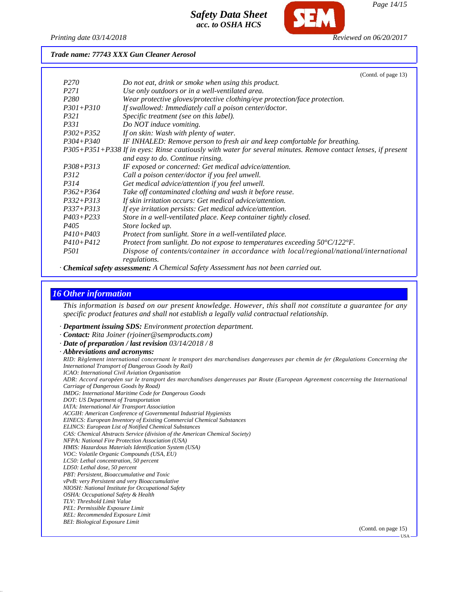

*Printing date 03/14/2018 Reviewed on 06/20/2017*

*Trade name: 77743 XXX Gun Cleaner Aerosol*

|                  | (Contd. of page 13)                                                                                           |
|------------------|---------------------------------------------------------------------------------------------------------------|
| <i>P270</i>      | Do not eat, drink or smoke when using this product.                                                           |
| P <sub>271</sub> | Use only outdoors or in a well-ventilated area.                                                               |
| P <sub>280</sub> | Wear protective gloves/protective clothing/eye protection/face protection.                                    |
| $P301 + P310$    | If swallowed: Immediately call a poison center/doctor.                                                        |
| P321             | Specific treatment (see on this label).                                                                       |
| P331             | Do NOT induce vomiting.                                                                                       |
| $P302 + P352$    | If on skin: Wash with plenty of water.                                                                        |
| $P304 + P340$    | IF INHALED: Remove person to fresh air and keep comfortable for breathing.                                    |
|                  | P305+P351+P338 If in eyes: Rinse cautiously with water for several minutes. Remove contact lenses, if present |
|                  | and easy to do. Continue rinsing.                                                                             |
| $P308 + P313$    | IF exposed or concerned: Get medical advice/attention.                                                        |
| <i>P312</i>      | Call a poison center/doctor if you feel unwell.                                                               |
| <i>P314</i>      | Get medical advice/attention if you feel unwell.                                                              |
| $P362 + P364$    | Take off contaminated clothing and wash it before reuse.                                                      |
| $P332 + P313$    | If skin irritation occurs: Get medical advice/attention.                                                      |
| $P337 + P313$    | If eye irritation persists: Get medical advice/attention.                                                     |
| $P403 + P233$    | Store in a well-ventilated place. Keep container tightly closed.                                              |
| P <sub>405</sub> | Store locked up.                                                                                              |
| $P410 + P403$    | Protect from sunlight. Store in a well-ventilated place.                                                      |
| $P410 + P412$    | Protect from sunlight. Do not expose to temperatures exceeding 50°C/122°F.                                    |
| <i>P501</i>      | Dispose of contents/container in accordance with local/regional/national/international<br>regulations.        |

*· Chemical safety assessment: A Chemical Safety Assessment has not been carried out.*

## *16 Other information*

*This information is based on our present knowledge. However, this shall not constitute a guarantee for any specific product features and shall not establish a legally valid contractual relationship.*

*· Department issuing SDS: Environment protection department.*

*· Contact: Rita Joiner (rjoiner@semproducts.com)*

*· Date of preparation / last revision 03/14/2018 / 8*

*· Abbreviations and acronyms:*

*RID: Règlement international concernant le transport des marchandises dangereuses par chemin de fer (Regulations Concerning the International Transport of Dangerous Goods by Rail)*

*ICAO: International Civil Aviation Organisation*

*ADR: Accord européen sur le transport des marchandises dangereuses par Route (European Agreement concerning the International Carriage of Dangerous Goods by Road)*

*IMDG: International Maritime Code for Dangerous Goods*

*DOT: US Department of Transportation*

*IATA: International Air Transport Association*

*ACGIH: American Conference of Governmental Industrial Hygienists*

*EINECS: European Inventory of Existing Commercial Chemical Substances*

*ELINCS: European List of Notified Chemical Substances*

*CAS: Chemical Abstracts Service (division of the American Chemical Society) NFPA: National Fire Protection Association (USA)*

*HMIS: Hazardous Materials Identification System (USA)*

*VOC: Volatile Organic Compounds (USA, EU)*

*LC50: Lethal concentration, 50 percent*

*LD50: Lethal dose, 50 percent*

*PBT: Persistent, Bioaccumulative and Toxic*

*vPvB: very Persistent and very Bioaccumulative*

*NIOSH: National Institute for Occupational Safety OSHA: Occupational Safety & Health*

*TLV: Threshold Limit Value*

*PEL: Permissible Exposure Limit*

*REL: Recommended Exposure Limit*

*BEI: Biological Exposure Limit*

(Contd. on page 15)